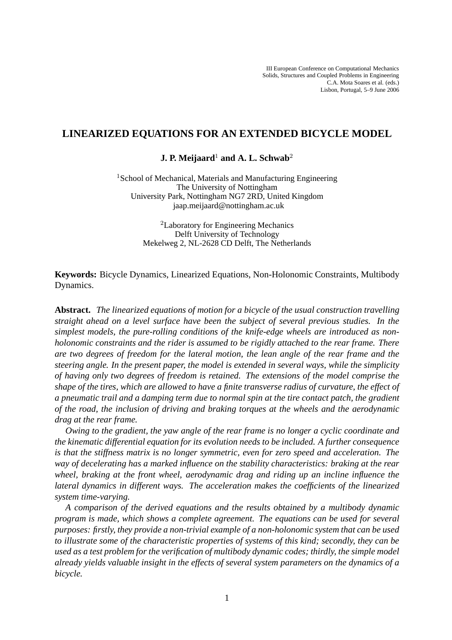# **LINEARIZED EQUATIONS FOR AN EXTENDED BICYCLE MODEL**

# **J. P. Meijaard**<sup>1</sup> **and A. L. Schwab**<sup>2</sup>

<sup>1</sup>School of Mechanical, Materials and Manufacturing Engineering The University of Nottingham University Park, Nottingham NG7 2RD, United Kingdom jaap.meijaard@nottingham.ac.uk

> <sup>2</sup>Laboratory for Engineering Mechanics Delft University of Technology Mekelweg 2, NL-2628 CD Delft, The Netherlands

**Keywords:** Bicycle Dynamics, Linearized Equations, Non-Holonomic Constraints, Multibody Dynamics.

**Abstract.** *The linearized equations of motion for a bicycle of the usual construction travelling straight ahead on a level surface have been the subject of several previous studies. In the simplest models, the pure-rolling conditions of the knife-edge wheels are introduced as nonholonomic constraints and the rider is assumed to be rigidly attached to the rear frame. There are two degrees of freedom for the lateral motion, the lean angle of the rear frame and the steering angle. In the present paper, the model is extended in several ways, while the simplicity of having only two degrees of freedom is retained. The extensions of the model comprise the shape of the tires, which are allowed to have a finite transverse radius of curvature, the effect of a pneumatic trail and a damping term due to normal spin at the tire contact patch, the gradient of the road, the inclusion of driving and braking torques at the wheels and the aerodynamic drag at the rear frame.*

*Owing to the gradient, the yaw angle of the rear frame is no longer a cyclic coordinate and the kinematic differential equation for its evolution needs to be included. A further consequence is that the stiffness matrix is no longer symmetric, even for zero speed and acceleration. The way of decelerating has a marked influence on the stability characteristics: braking at the rear wheel, braking at the front wheel, aerodynamic drag and riding up an incline influence the lateral dynamics in different ways. The acceleration makes the coefficients of the linearized system time-varying.*

*A comparison of the derived equations and the results obtained by a multibody dynamic program is made, which shows a complete agreement. The equations can be used for several purposes: firstly, they provide a non-trivial example of a non-holonomic system that can be used to illustrate some of the characteristic properties of systems of this kind; secondly, they can be used as a test problem for the verification of multibody dynamic codes; thirdly, the simple model already yields valuable insight in the effects of several system parameters on the dynamics of a bicycle.*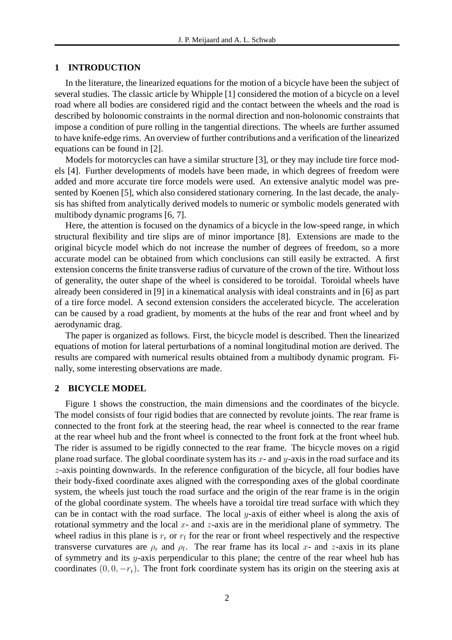## **1 INTRODUCTION**

In the literature, the linearized equations for the motion of a bicycle have been the subject of several studies. The classic article by Whipple [1] considered the motion of a bicycle on a level road where all bodies are considered rigid and the contact between the wheels and the road is described by holonomic constraints in the normal direction and non-holonomic constraints that impose a condition of pure rolling in the tangential directions. The wheels are further assumed to have knife-edge rims. An overview of further contributions and a verification of the linearized equations can be found in [2].

Models for motorcycles can have a similar structure [3], or they may include tire force models [4]. Further developments of models have been made, in which degrees of freedom were added and more accurate tire force models were used. An extensive analytic model was presented by Koenen [5], which also considered stationary cornering. In the last decade, the analysis has shifted from analytically derived models to numeric or symbolic models generated with multibody dynamic programs [6, 7].

Here, the attention is focused on the dynamics of a bicycle in the low-speed range, in which structural flexibility and tire slips are of minor importance [8]. Extensions are made to the original bicycle model which do not increase the number of degrees of freedom, so a more accurate model can be obtained from which conclusions can still easily be extracted. A first extension concerns the finite transverse radius of curvature of the crown of the tire. Without loss of generality, the outer shape of the wheel is considered to be toroidal. Toroidal wheels have already been considered in [9] in a kinematical analysis with ideal constraints and in [6] as part of a tire force model. A second extension considers the accelerated bicycle. The acceleration can be caused by a road gradient, by moments at the hubs of the rear and front wheel and by aerodynamic drag.

The paper is organized as follows. First, the bicycle model is described. Then the linearized equations of motion for lateral perturbations of a nominal longitudinal motion are derived. The results are compared with numerical results obtained from a multibody dynamic program. Finally, some interesting observations are made.

# **2 BICYCLE MODEL**

Figure 1 shows the construction, the main dimensions and the coordinates of the bicycle. The model consists of four rigid bodies that are connected by revolute joints. The rear frame is connected to the front fork at the steering head, the rear wheel is connected to the rear frame at the rear wheel hub and the front wheel is connected to the front fork at the front wheel hub. The rider is assumed to be rigidly connected to the rear frame. The bicycle moves on a rigid plane road surface. The global coordinate system has its  $x$ - and  $y$ -axis in the road surface and its  $z$ -axis pointing downwards. In the reference configuration of the bicycle, all four bodies have their body-fixed coordinate axes aligned with the corresponding axes of the global coordinate system, the wheels just touch the road surface and the origin of the rear frame is in the origin of the global coordinate system. The wheels have a toroidal tire tread surface with which they can be in contact with the road surface. The local y-axis of either wheel is along the axis of rotational symmetry and the local  $x$ - and  $z$ -axis are in the meridional plane of symmetry. The wheel radius in this plane is  $r_r$  or  $r_f$  for the rear or front wheel respectively and the respective transverse curvatures are  $\rho_r$  and  $\rho_f$ . The rear frame has its local x- and z-axis in its plane of symmetry and its y-axis perpendicular to this plane; the centre of the rear wheel hub has coordinates  $(0, 0, -r_r)$ . The front fork coordinate system has its origin on the steering axis at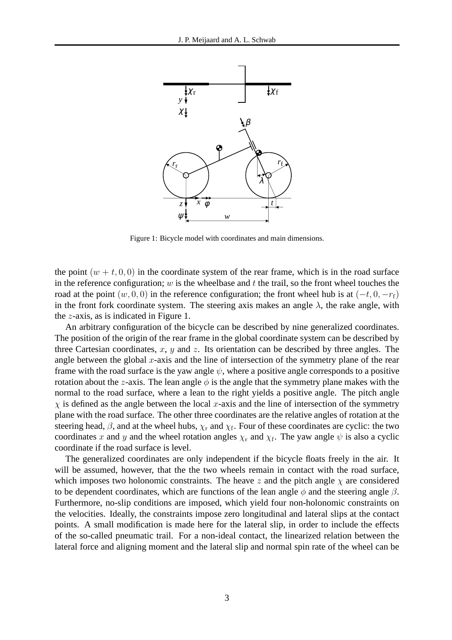

Figure 1: Bicycle model with coordinates and main dimensions.

the point  $(w + t, 0, 0)$  in the coordinate system of the rear frame, which is in the road surface in the reference configuration;  $w$  is the wheelbase and  $t$  the trail, so the front wheel touches the road at the point  $(w, 0, 0)$  in the reference configuration; the front wheel hub is at  $(-t, 0, -r<sub>f</sub>)$ in the front fork coordinate system. The steering axis makes an angle  $\lambda$ , the rake angle, with the z-axis, as is indicated in Figure 1.

An arbitrary configuration of the bicycle can be described by nine generalized coordinates. The position of the origin of the rear frame in the global coordinate system can be described by three Cartesian coordinates,  $x$ ,  $y$  and  $z$ . Its orientation can be described by three angles. The angle between the global  $x$ -axis and the line of intersection of the symmetry plane of the rear frame with the road surface is the yaw angle  $\psi$ , where a positive angle corresponds to a positive rotation about the z-axis. The lean angle  $\phi$  is the angle that the symmetry plane makes with the normal to the road surface, where a lean to the right yields a positive angle. The pitch angle  $\chi$  is defined as the angle between the local x-axis and the line of intersection of the symmetry plane with the road surface. The other three coordinates are the relative angles of rotation at the steering head,  $\beta$ , and at the wheel hubs,  $\chi_r$  and  $\chi_f$ . Four of these coordinates are cyclic: the two coordinates x and y and the wheel rotation angles  $\chi_r$  and  $\chi_f$ . The yaw angle  $\psi$  is also a cyclic coordinate if the road surface is level.

The generalized coordinates are only independent if the bicycle floats freely in the air. It will be assumed, however, that the the two wheels remain in contact with the road surface, which imposes two holonomic constraints. The heave z and the pitch angle  $\chi$  are considered to be dependent coordinates, which are functions of the lean angle  $\phi$  and the steering angle  $\beta$ . Furthermore, no-slip conditions are imposed, which yield four non-holonomic constraints on the velocities. Ideally, the constraints impose zero longitudinal and lateral slips at the contact points. A small modification is made here for the lateral slip, in order to include the effects of the so-called pneumatic trail. For a non-ideal contact, the linearized relation between the lateral force and aligning moment and the lateral slip and normal spin rate of the wheel can be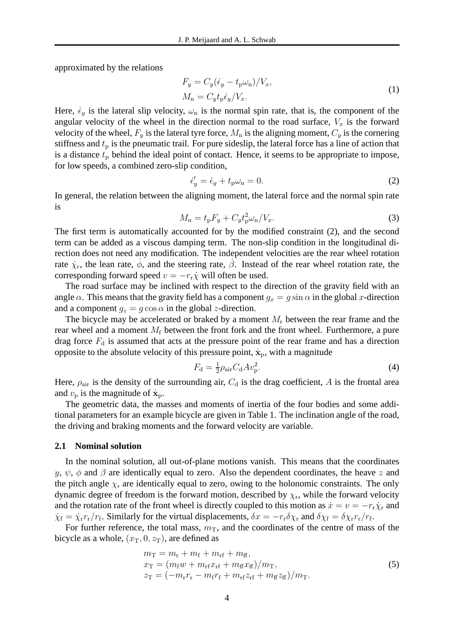approximated by the relations

$$
F_y = C_y(\dot{\epsilon}_y - t_p \omega_n) / V_x,
$$
  
\n
$$
M_n = C_y t_p \dot{\epsilon}_y / V_x.
$$
\n(1)

Here,  $\dot{\epsilon}_y$  is the lateral slip velocity,  $\omega_n$  is the normal spin rate, that is, the component of the angular velocity of the wheel in the direction normal to the road surface,  $V_x$  is the forward velocity of the wheel,  $F_y$  is the lateral tyre force,  $M_n$  is the aligning moment,  $C_y$  is the cornering stiffness and  $t<sub>p</sub>$  is the pneumatic trail. For pure sideslip, the lateral force has a line of action that is a distance  $t_p$  behind the ideal point of contact. Hence, it seems to be appropriate to impose, for low speeds, a combined zero-slip condition,

$$
\dot{\epsilon}'_y = \dot{\epsilon}_y + t_p \omega_n = 0. \tag{2}
$$

In general, the relation between the aligning moment, the lateral force and the normal spin rate is

$$
M_{\rm n} = t_{\rm p} F_y + C_y t_{\rm p}^2 \omega_{\rm n} / V_x. \tag{3}
$$

The first term is automatically accounted for by the modified constraint (2), and the second term can be added as a viscous damping term. The non-slip condition in the longitudinal direction does not need any modification. The independent velocities are the rear wheel rotation rate  $\dot{\chi}_r$ , the lean rate,  $\dot{\phi}$ , and the steering rate,  $\dot{\beta}$ . Instead of the rear wheel rotation rate, the corresponding forward speed  $v = -r_r\dot{\chi}$  will often be used.

The road surface may be inclined with respect to the direction of the gravity field with an angle  $\alpha$ . This means that the gravity field has a component  $g_x = g \sin \alpha$  in the global x-direction and a component  $g_z = g \cos \alpha$  in the global *z*-direction.

The bicycle may be accelerated or braked by a moment  $M_r$  between the rear frame and the rear wheel and a moment  $M_f$  between the front fork and the front wheel. Furthermore, a pure drag force  $F_d$  is assumed that acts at the pressure point of the rear frame and has a direction opposite to the absolute velocity of this pressure point,  $\dot{x}_p$ , with a magnitude

$$
F_{\rm d} = \frac{1}{2}\rho_{\rm air} C_{\rm d}Av_{\rm p}^2. \tag{4}
$$

Here,  $\rho_{\text{air}}$  is the density of the surrounding air,  $C_d$  is the drag coefficient, A is the frontal area and  $v_{\rm p}$  is the magnitude of  $\dot{\mathbf{x}}_{\rm p}$ .

The geometric data, the masses and moments of inertia of the four bodies and some additional parameters for an example bicycle are given in Table 1. The inclination angle of the road, the driving and braking moments and the forward velocity are variable.

### **2.1 Nominal solution**

In the nominal solution, all out-of-plane motions vanish. This means that the coordinates y,  $\psi$ ,  $\phi$  and  $\beta$  are identically equal to zero. Also the dependent coordinates, the heave z and the pitch angle  $\chi$ , are identically equal to zero, owing to the holonomic constraints. The only dynamic degree of freedom is the forward motion, described by  $\chi_r$ , while the forward velocity and the rotation rate of the front wheel is directly coupled to this motion as  $\dot{x} = v = -r_r \dot{\chi}_r$  and  $\dot{\chi}_{\rm f} = \dot{\chi}_{\rm r} r_{\rm r}/r_{\rm f}$ . Similarly for the virtual displacements,  $\delta x = -r_{\rm r} \delta \chi_{\rm r}$  and  $\delta \chi_{\rm f} = \delta \chi_{\rm r} r_{\rm r}/r_{\rm f}$ .

For further reference, the total mass,  $m<sub>T</sub>$ , and the coordinates of the centre of mass of the bicycle as a whole,  $(x_T, 0, z_T)$ , are defined as

$$
m_{\rm T} = m_{\rm r} + m_{\rm f} + m_{\rm rf} + m_{\rm ff},
$$
  
\n
$$
x_{\rm T} = (m_{\rm f}w + m_{\rm rf}x_{\rm rf} + m_{\rm ff}x_{\rm ff})/m_{\rm T},
$$
  
\n
$$
z_{\rm T} = (-m_{\rm r}r_{\rm r} - m_{\rm f}r_{\rm f} + m_{\rm rf}z_{\rm rf} + m_{\rm ff}z_{\rm ff})/m_{\rm T}.
$$
\n(5)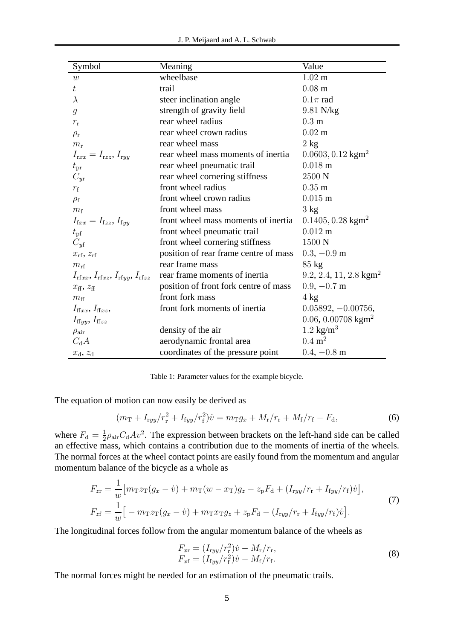| Symbol                                                               | Meaning                               | Value                              |
|----------------------------------------------------------------------|---------------------------------------|------------------------------------|
| w                                                                    | wheelbase                             | $1.02 \text{ m}$                   |
| ŧ                                                                    | trail                                 | 0.08 <sub>m</sub>                  |
| $\lambda$                                                            | steer inclination angle               | $0.1\pi$ rad                       |
| g                                                                    | strength of gravity field             | $9.81$ N/kg                        |
| $r_\mathrm{r}$                                                       | rear wheel radius                     | 0.3 <sub>m</sub>                   |
| $\rho_{\rm r}$                                                       | rear wheel crown radius               | $0.02 \; \mathrm{m}$               |
| $m_r$                                                                | rear wheel mass                       | $2 \text{ kg}$                     |
| $I_{\text{r}xx} = I_{\text{r}zz}$ , $I_{\text{r}yy}$                 | rear wheel mass moments of inertia    | $0.0603, 0.12$ kgm <sup>2</sup>    |
| $t_{\rm pr}$                                                         | rear wheel pneumatic trail            | $0.018 \text{ m}$                  |
| $C_{yr}$                                                             | rear wheel cornering stiffness        | 2500 N                             |
| $r_{\rm f}$                                                          | front wheel radius                    | $0.35$ m                           |
| $\rho_{\rm f}$                                                       | front wheel crown radius              | $0.015 \text{ m}$                  |
| $m_{\rm f}$                                                          | front wheel mass                      | $3 \text{ kg}$                     |
| $I_{\text{f}xx} = I_{\text{f}zz}$ , $I_{\text{f}yy}$                 | front wheel mass moments of inertia   | $0.1405, 0.28$ kgm <sup>2</sup>    |
| $t_{\rm pf}$                                                         | front wheel pneumatic trail           | $0.012 \text{ m}$                  |
| $C_{\text{yf}}$                                                      | front wheel cornering stiffness       | 1500 N                             |
| $x_{\rm rf}, z_{\rm rf}$                                             | position of rear frame centre of mass | $0.3, -0.9$ m                      |
| $m_{\rm rf}$                                                         | rear frame mass                       | $85 \text{ kg}$                    |
| $I_{\text{rfxx}}, I_{\text{rfxz}}, I_{\text{rfyy}}, I_{\text{rfzz}}$ | rear frame moments of inertia         | 9.2, 2.4, 11, 2.8 kgm <sup>2</sup> |
| $x_{\text{ff}}$ , $z_{\text{ff}}$                                    | position of front fork centre of mass | $0.9, -0.7$ m                      |
| $m_{\rm ff}$                                                         | front fork mass                       | $4$ kg                             |
| $I_{\text{ff}xx}$ , $I_{\text{ff}xz}$ ,                              | front fork moments of inertia         | $0.05892, -0.00756,$               |
| $I_{\text{ff}yy}$ , $I_{\text{ff}zz}$                                |                                       | 0.06, 0.00708 kgm <sup>2</sup>     |
| $\rho_{\text{air}}$                                                  | density of the air                    | $1.2 \text{ kg/m}^3$               |
| $C_{d}A$                                                             | aerodynamic frontal area              | $0.4~\mathrm{m}^2$                 |
| $x_d$ , $z_d$                                                        | coordinates of the pressure point     | $0.4, -0.8$ m                      |

Table 1: Parameter values for the example bicycle.

The equation of motion can now easily be derived as

$$
(m_{\rm T} + I_{\rm ryy}/r_{\rm r}^2 + I_{\rm fyy}/r_{\rm f}^2)\dot{v} = m_{\rm T}g_x + M_{\rm r}/r_{\rm r} + M_{\rm f}/r_{\rm f} - F_{\rm d},\tag{6}
$$

where  $F_d = \frac{1}{2}$  $\frac{1}{2}\rho_{\text{air}}C_{\text{d}}Av^2$ . The expression between brackets on the left-hand side can be called an effective mass, which contains a contribution due to the moments of inertia of the wheels. The normal forces at the wheel contact points are easily found from the momentum and angular momentum balance of the bicycle as a whole as

$$
F_{z\mathbf{r}} = \frac{1}{w} \Big[ m_{\mathbf{T}} z_{\mathbf{T}} (g_x - \dot{v}) + m_{\mathbf{T}} (w - x_{\mathbf{T}}) g_z - z_{\mathbf{p}} F_{\mathbf{d}} + (I_{\mathbf{r}yy}/r_{\mathbf{r}} + I_{\mathbf{f}yy}/r_{\mathbf{f}}) \dot{v} \Big],
$$
  
\n
$$
F_{z\mathbf{f}} = \frac{1}{w} \Big[ -m_{\mathbf{T}} z_{\mathbf{T}} (g_x - \dot{v}) + m_{\mathbf{T}} x_{\mathbf{T}} g_z + z_{\mathbf{p}} F_{\mathbf{d}} - (I_{\mathbf{r}yy}/r_{\mathbf{r}} + I_{\mathbf{f}yy}/r_{\mathbf{f}}) \dot{v} \Big].
$$
\n(7)

The longitudinal forces follow from the angular momentum balance of the wheels as

$$
F_{xx} = (I_{ryy}/r_r^2)\dot{v} - M_r/r_r,
$$
  
\n
$$
F_{xf} = (I_{fyy}/r_f^2)\dot{v} - M_f/r_f.
$$
\n(8)

The normal forces might be needed for an estimation of the pneumatic trails.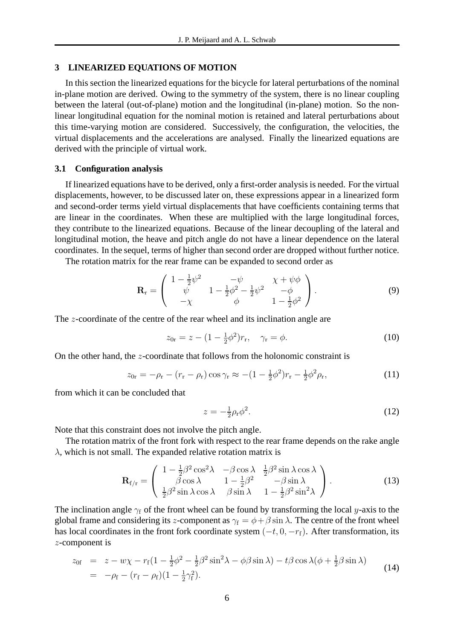## **3 LINEARIZED EQUATIONS OF MOTION**

In this section the linearized equations for the bicycle for lateral perturbations of the nominal in-plane motion are derived. Owing to the symmetry of the system, there is no linear coupling between the lateral (out-of-plane) motion and the longitudinal (in-plane) motion. So the nonlinear longitudinal equation for the nominal motion is retained and lateral perturbations about this time-varying motion are considered. Successively, the configuration, the velocities, the virtual displacements and the accelerations are analysed. Finally the linearized equations are derived with the principle of virtual work.

#### **3.1 Configuration analysis**

If linearized equations have to be derived, only a first-order analysis is needed. For the virtual displacements, however, to be discussed later on, these expressions appear in a linearized form and second-order terms yield virtual displacements that have coefficients containing terms that are linear in the coordinates. When these are multiplied with the large longitudinal forces, they contribute to the linearized equations. Because of the linear decoupling of the lateral and longitudinal motion, the heave and pitch angle do not have a linear dependence on the lateral coordinates. In the sequel, terms of higher than second order are dropped without further notice.

The rotation matrix for the rear frame can be expanded to second order as

$$
\mathbf{R}_{\rm r} = \begin{pmatrix} 1 - \frac{1}{2}\psi^2 & -\psi & \chi + \psi\phi \\ \psi & 1 - \frac{1}{2}\phi^2 - \frac{1}{2}\psi^2 & -\phi \\ -\chi & \phi & 1 - \frac{1}{2}\phi^2 \end{pmatrix}.
$$
 (9)

The z-coordinate of the centre of the rear wheel and its inclination angle are

$$
z_{0r} = z - (1 - \frac{1}{2}\phi^2)r_r, \quad \gamma_r = \phi.
$$
 (10)

On the other hand, the  $z$ -coordinate that follows from the holonomic constraint is

$$
z_{0r} = -\rho_r - (r_r - \rho_r) \cos \gamma_r \approx -(1 - \frac{1}{2}\phi^2)r_r - \frac{1}{2}\phi^2\rho_r, \qquad (11)
$$

from which it can be concluded that

$$
z = -\frac{1}{2}\rho_r \phi^2. \tag{12}
$$

Note that this constraint does not involve the pitch angle.

The rotation matrix of the front fork with respect to the rear frame depends on the rake angle  $\lambda$ , which is not small. The expanded relative rotation matrix is

$$
\mathbf{R}_{f/r} = \begin{pmatrix} 1 - \frac{1}{2}\beta^2 \cos^2 \lambda & -\beta \cos \lambda & \frac{1}{2}\beta^2 \sin \lambda \cos \lambda \\ \beta \cos \lambda & 1 - \frac{1}{2}\beta^2 & -\beta \sin \lambda \\ \frac{1}{2}\beta^2 \sin \lambda \cos \lambda & \beta \sin \lambda & 1 - \frac{1}{2}\beta^2 \sin^2 \lambda \end{pmatrix}.
$$
 (13)

The inclination angle  $\gamma_f$  of the front wheel can be found by transforming the local y-axis to the global frame and considering its z-component as  $\gamma_f = \phi + \beta \sin \lambda$ . The centre of the front wheel has local coordinates in the front fork coordinate system  $(-t, 0, -r_f)$ . After transformation, its z-component is

$$
z_{0f} = z - w\chi - r_f(1 - \frac{1}{2}\phi^2 - \frac{1}{2}\beta^2 \sin^2\lambda - \phi\beta \sin\lambda) - t\beta \cos\lambda(\phi + \frac{1}{2}\beta \sin\lambda)
$$
  
= 
$$
-\rho_f - (r_f - \rho_f)(1 - \frac{1}{2}\gamma_f^2).
$$
 (14)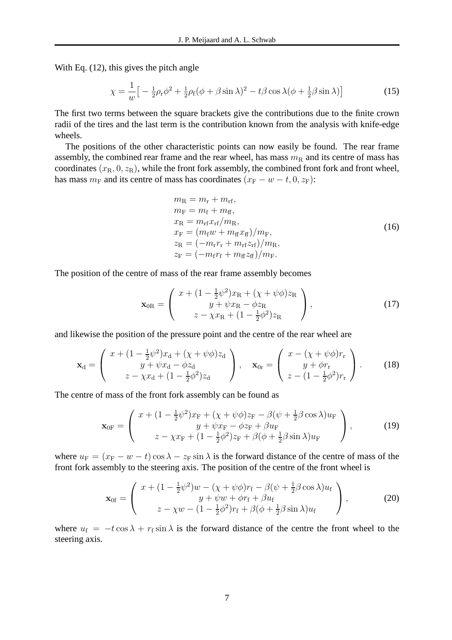With Eq. (12), this gives the pitch angle

$$
\chi = \frac{1}{w} \left[ -\frac{1}{2}\rho_r \phi^2 + \frac{1}{2}\rho_f (\phi + \beta \sin \lambda)^2 - t\beta \cos \lambda (\phi + \frac{1}{2}\beta \sin \lambda) \right]
$$
(15)

The first two terms between the square brackets give the contributions due to the finite crown radii of the tires and the last term is the contribution known from the analysis with knife-edge wheels.

The positions of the other characteristic points can now easily be found. The rear frame assembly, the combined rear frame and the rear wheel, has mass  $m<sub>R</sub>$  and its centre of mass has coordinates  $(x_R, 0, z_R)$ , while the front fork assembly, the combined front fork and front wheel, has mass  $m_F$  and its centre of mass has coordinates  $(x_F - w - t, 0, z_F)$ :

$$
m_{\rm R} = m_{\rm r} + m_{\rm rf},
$$
  
\n
$$
m_{\rm F} = m_{\rm f} + m_{\rm ff},
$$
  
\n
$$
x_{\rm R} = m_{\rm rf} x_{\rm rf}/m_{\rm R},
$$
  
\n
$$
x_{\rm F} = (m_{\rm f} w + m_{\rm ff} x_{\rm ff})/m_{\rm F},
$$
  
\n
$$
z_{\rm R} = (-m_{\rm r} r_{\rm r} + m_{\rm rf} z_{\rm rf})/m_{\rm R},
$$
  
\n
$$
z_{\rm F} = (-m_{\rm f} r_{\rm f} + m_{\rm ff} z_{\rm ff})/m_{\rm F}.
$$
\n(16)

The position of the centre of mass of the rear frame assembly becomes

$$
\mathbf{x}_{0R} = \begin{pmatrix} x + (1 - \frac{1}{2}\psi^2)x_R + (\chi + \psi\phi)z_R \\ y + \psi x_R - \phi z_R \\ z - \chi x_R + (1 - \frac{1}{2}\phi^2)z_R \end{pmatrix},
$$
(17)

and likewise the position of the pressure point and the centre of the rear wheel are

$$
\mathbf{x}_{d} = \begin{pmatrix} x + (1 - \frac{1}{2}\psi^{2})x_{d} + (\chi + \psi\phi)z_{d} \\ y + \psi x_{d} - \phi z_{d} \\ z - \chi x_{d} + (1 - \frac{1}{2}\phi^{2})z_{d} \end{pmatrix}, \quad \mathbf{x}_{0r} = \begin{pmatrix} x - (\chi + \psi\phi)r_{r} \\ y + \phi r_{r} \\ z - (1 - \frac{1}{2}\phi^{2})r_{r} \end{pmatrix}.
$$
 (18)

The centre of mass of the front fork assembly can be found as

$$
\mathbf{x}_{0F} = \begin{pmatrix} x + (1 - \frac{1}{2}\psi^2)x_F + (\chi + \psi\phi)z_F - \beta(\psi + \frac{1}{2}\beta\cos\lambda)u_F \\ y + \psi x_F - \phi z_F + \beta u_F \\ z - \chi x_F + (1 - \frac{1}{2}\phi^2)z_F + \beta(\phi + \frac{1}{2}\beta\sin\lambda)u_F \end{pmatrix},
$$
(19)

where  $u_F = (x_F - w - t) \cos \lambda - z_F \sin \lambda$  is the forward distance of the centre of mass of the front fork assembly to the steering axis. The position of the centre of the front wheel is

$$
\mathbf{x}_{0f} = \begin{pmatrix} x + (1 - \frac{1}{2}\psi^2)w - (\chi + \psi\phi)r_f - \beta(\psi + \frac{1}{2}\beta\cos\lambda)u_f \\ y + \psi w + \phi r_f + \beta u_f \\ z - \chi w - (1 - \frac{1}{2}\phi^2)r_f + \beta(\phi + \frac{1}{2}\beta\sin\lambda)u_f \end{pmatrix},
$$
(20)

where  $u_f = -t \cos \lambda + r_f \sin \lambda$  is the forward distance of the centre the front wheel to the steering axis.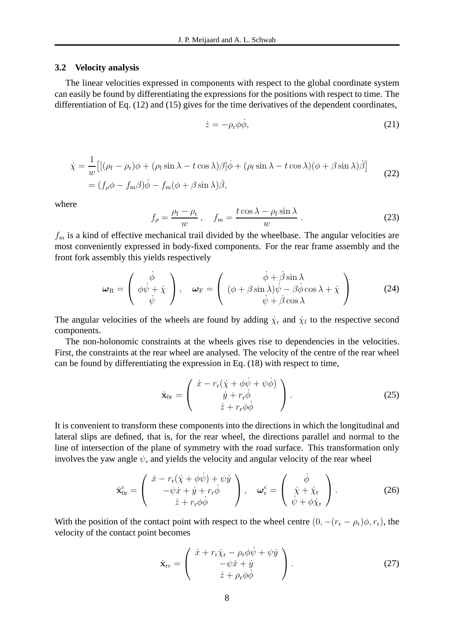#### **3.2 Velocity analysis**

The linear velocities expressed in components with respect to the global coordinate system can easily be found by differentiating the expressions for the positions with respect to time. The differentiation of Eq. (12) and (15) gives for the time derivatives of the dependent coordinates,

$$
\dot{z} = -\rho_{\rm r}\phi\dot{\phi},\tag{21}
$$

$$
\dot{\chi} = \frac{1}{w} \left[ \left[ (\rho_f - \rho_r) \phi + (\rho_f \sin \lambda - t \cos \lambda) \beta \right] \dot{\phi} + (\rho_f \sin \lambda - t \cos \lambda) (\phi + \beta \sin \lambda) \dot{\beta} \right]
$$
  
=  $(f_\rho \phi - f_m \beta) \dot{\phi} - f_m (\phi + \beta \sin \lambda) \dot{\beta},$  (22)

where

$$
f_{\rho} = \frac{\rho_{\rm f} - \rho_{\rm r}}{w}, \quad f_{\rm m} = \frac{t \cos \lambda - \rho_{\rm f} \sin \lambda}{w} \,. \tag{23}
$$

 $f<sub>m</sub>$  is a kind of effective mechanical trail divided by the wheelbase. The angular velocities are most conveniently expressed in body-fixed components. For the rear frame assembly and the front fork assembly this yields respectively

$$
\boldsymbol{\omega}_{\text{R}} = \begin{pmatrix} \dot{\phi} \\ \phi \dot{\psi} + \dot{\chi} \\ \dot{\psi} \end{pmatrix}, \quad \boldsymbol{\omega}_{\text{F}} = \begin{pmatrix} \dot{\phi} + \dot{\beta} \sin \lambda \\ (\phi + \beta \sin \lambda) \dot{\psi} - \beta \dot{\phi} \cos \lambda + \dot{\chi} \\ \dot{\psi} + \dot{\beta} \cos \lambda \end{pmatrix}
$$
(24)

The angular velocities of the wheels are found by adding  $\dot{\chi}_r$  and  $\dot{\chi}_f$  to the respective second components.

The non-holonomic constraints at the wheels gives rise to dependencies in the velocities. First, the constraints at the rear wheel are analysed. The velocity of the centre of the rear wheel can be found by differentiating the expression in Eq. (18) with respect to time,

$$
\dot{\mathbf{x}}_{0r} = \begin{pmatrix} \dot{x} - r_r(\dot{\chi} + \phi\dot{\psi} + \psi\dot{\phi}) \\ \dot{y} + r_r\dot{\phi} \\ \dot{z} + r_r\phi\dot{\phi} \end{pmatrix} . \tag{25}
$$

It is convenient to transform these components into the directions in which the longitudinal and lateral slips are defined, that is, for the rear wheel, the directions parallel and normal to the line of intersection of the plane of symmetry with the road surface. This transformation only involves the yaw angle  $\psi$ , and yields the velocity and angular velocity of the rear wheel

$$
\dot{\mathbf{x}}_{0r}^{c} = \begin{pmatrix} \dot{x} - r_{r}(\dot{\chi} + \phi\dot{\psi}) + \psi\dot{y} \\ -\psi\dot{x} + \dot{y} + r_{r}\dot{\phi} \\ \dot{z} + r_{r}\phi\dot{\phi} \end{pmatrix}, \quad \boldsymbol{\omega}_{r}^{c} = \begin{pmatrix} \dot{\phi} \\ \dot{\chi} + \dot{\chi}_{r} \\ \dot{\psi} + \phi\dot{\chi}_{r} \end{pmatrix}.
$$
 (26)

With the position of the contact point with respect to the wheel centre  $(0, -(r_r - \rho_r)\phi, r_r)$ , the velocity of the contact point becomes

$$
\dot{\mathbf{x}}_{\rm rc} = \begin{pmatrix} \dot{x} + r_{\rm r} \dot{\chi}_{\rm r} - \rho_{\rm r} \phi \dot{\psi} + \psi \dot{y} \\ -\psi \dot{x} + \dot{y} \\ \dot{z} + \rho_{\rm r} \phi \dot{\phi} \end{pmatrix} . \tag{27}
$$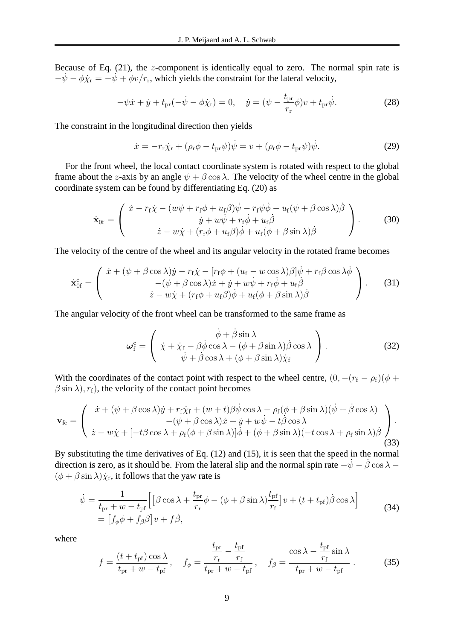Because of Eq.  $(21)$ , the *z*-component is identically equal to zero. The normal spin rate is  $-\dot{\psi} - \phi \dot{\chi}_{\rm r} = -\dot{\psi} + \phi v/r_{\rm r}$ , which yields the constraint for the lateral velocity,

$$
-\psi \dot{x} + \dot{y} + t_{\rm pr}(-\dot{\psi} - \phi \dot{\chi}_{\rm r}) = 0, \quad \dot{y} = (\psi - \frac{t_{\rm pr}}{r_{\rm r}} \phi)v + t_{\rm pr} \dot{\psi}.
$$
 (28)

The constraint in the longitudinal direction then yields

$$
\dot{x} = -r_{\rm r}\dot{\chi}_{\rm r} + (\rho_{\rm r}\phi - t_{\rm pr}\psi)\dot{\psi} = v + (\rho_{\rm r}\phi - t_{\rm pr}\psi)\dot{\psi}.
$$
\n(29)

For the front wheel, the local contact coordinate system is rotated with respect to the global frame about the z-axis by an angle  $\psi + \beta \cos \lambda$ . The velocity of the wheel centre in the global coordinate system can be found by differentiating Eq. (20) as

$$
\dot{\mathbf{x}}_{0f} = \begin{pmatrix} \dot{x} - r_f \dot{\chi} - (w\psi + r_f \phi + u_f \beta) \dot{\psi} - r_f \psi \dot{\phi} - u_f (\psi + \beta \cos \lambda) \dot{\beta} \\ \dot{y} + w \dot{\psi} + r_f \dot{\phi} + u_f \dot{\beta} \\ \dot{z} - w \dot{\chi} + (r_f \phi + u_f \beta) \dot{\phi} + u_f (\phi + \beta \sin \lambda) \dot{\beta} \end{pmatrix}.
$$
 (30)

The velocity of the centre of the wheel and its angular velocity in the rotated frame becomes

$$
\dot{\mathbf{x}}_{0f}^{\mathrm{c}} = \begin{pmatrix} \dot{x} + (\psi + \beta \cos \lambda)\dot{y} - r_{\mathrm{f}}\dot{\chi} - [r_{\mathrm{f}}\phi + (u_{\mathrm{f}} - w \cos \lambda)\beta]\dot{\psi} + r_{\mathrm{f}}\beta \cos \lambda\dot{\phi} \\ -(\psi + \beta \cos \lambda)\dot{x} + \dot{y} + w\dot{\psi} + r_{\mathrm{f}}\dot{\phi} + u_{\mathrm{f}}\dot{\beta} \\ \dot{z} - w\dot{\chi} + (r_{\mathrm{f}}\phi + u_{\mathrm{f}}\beta)\dot{\phi} + u_{\mathrm{f}}(\phi + \beta \sin \lambda)\dot{\beta} \end{pmatrix}.
$$
 (31)

The angular velocity of the front wheel can be transformed to the same frame as

$$
\boldsymbol{\omega}_{\rm f}^{\rm c} = \left( \begin{array}{c} \dot{\phi} + \dot{\beta} \sin \lambda \\ \dot{\chi} + \dot{\chi}_{\rm f} - \beta \dot{\phi} \cos \lambda - (\phi + \beta \sin \lambda) \dot{\beta} \cos \lambda \\ \dot{\psi} + \dot{\beta} \cos \lambda + (\phi + \beta \sin \lambda) \dot{\chi}_{\rm f} \end{array} \right). \tag{32}
$$

With the coordinates of the contact point with respect to the wheel centre,  $(0, -(r_f - \rho_f)(\phi +$  $(\beta \sin \lambda), r_f$ , the velocity of the contact point becomes

$$
\mathbf{v}_{\rm fc} = \begin{pmatrix} \dot{x} + (\psi + \beta \cos \lambda)\dot{y} + r_{\rm f}\dot{\chi}_{\rm f} + (w + t)\beta\dot{\psi}\cos \lambda - \rho_{\rm f}(\phi + \beta \sin \lambda)(\dot{\psi} + \dot{\beta}\cos \lambda) \\ -(\psi + \beta \cos \lambda)\dot{x} + \dot{y} + w\dot{\psi} - t\dot{\beta}\cos \lambda \\ \dot{z} - w\dot{\chi} + [-t\beta \cos \lambda + \rho_{\rm f}(\phi + \beta \sin \lambda)]\dot{\phi} + (\phi + \beta \sin \lambda)(-t\cos \lambda + \rho_{\rm f}\sin \lambda)\dot{\beta} \end{pmatrix}.
$$
\n(33)

By substituting the time derivatives of Eq. (12) and (15), it is seen that the speed in the normal direction is zero, as it should be. From the lateral slip and the normal spin rate  $-\dot{\psi} - \dot{\beta} \cos \lambda - \dot{\psi}$  $(\phi + \beta \sin \lambda)\dot{\chi}_{\rm f}$ , it follows that the yaw rate is

$$
\dot{\psi} = \frac{1}{t_{\text{pr}} + w - t_{\text{pf}}} \Big[ \Big[ \beta \cos \lambda + \frac{t_{\text{pr}}}{r_{\text{r}}} \phi - (\phi + \beta \sin \lambda) \frac{t_{\text{pf}}}{r_{\text{f}}} \Big] v + (t + t_{\text{pf}}) \dot{\beta} \cos \lambda \Big] \n= \Big[ f_{\phi} \phi + f_{\beta} \beta \Big] v + f \dot{\beta},
$$
\n(34)

where

$$
f = \frac{(t + t_{\rm pf})\cos\lambda}{t_{\rm pr} + w - t_{\rm pf}}, \quad f_{\phi} = \frac{\frac{t_{\rm pr}}{r_{\rm r}} - \frac{t_{\rm pf}}{r_{\rm f}}}{t_{\rm pr} + w - t_{\rm pf}}, \quad f_{\beta} = \frac{\cos\lambda - \frac{t_{\rm pf}}{r_{\rm f}}\sin\lambda}{t_{\rm pr} + w - t_{\rm pf}}.
$$
 (35)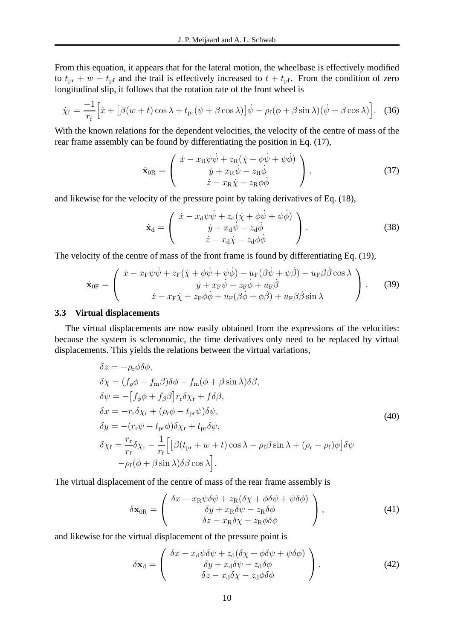From this equation, it appears that for the lateral motion, the wheelbase is effectively modified to  $t_{\text{pr}} + w - t_{\text{pf}}$  and the trail is effectively increased to  $t + t_{\text{pf}}$ . From the condition of zero longitudinal slip, it follows that the rotation rate of the front wheel is

$$
\dot{\chi}_{\rm f} = \frac{-1}{r_{\rm f}} \Big[ \dot{x} + \big[ \beta(w+t) \cos \lambda + t_{\rm pr}(\psi + \beta \cos \lambda) \big] \dot{\psi} - \rho_{\rm f}(\phi + \beta \sin \lambda) (\dot{\psi} + \dot{\beta} \cos \lambda) \Big]. \tag{36}
$$

With the known relations for the dependent velocities, the velocity of the centre of mass of the rear frame assembly can be found by differentiating the position in Eq. (17),

$$
\dot{\mathbf{x}}_{0R} = \begin{pmatrix} \dot{x} - x_R \psi \dot{\psi} + z_R (\dot{\chi} + \phi \dot{\psi} + \psi \dot{\phi}) \\ \dot{y} + x_R \dot{\psi} - z_R \dot{\phi} \\ \dot{z} - x_R \dot{\chi} - z_R \phi \dot{\phi} \end{pmatrix},
$$
(37)

and likewise for the velocity of the pressure point by taking derivatives of Eq. (18),

$$
\dot{\mathbf{x}}_{d} = \begin{pmatrix} \dot{x} - x_{d}\psi\dot{\psi} + z_{d}(\dot{\chi} + \phi\dot{\psi} + \psi\dot{\phi}) \\ \dot{y} + x_{d}\dot{\psi} - z_{d}\dot{\phi} \\ \dot{z} - x_{d}\dot{\chi} - z_{d}\phi\dot{\phi} \end{pmatrix} . \tag{38}
$$

The velocity of the centre of mass of the front frame is found by differentiating Eq. (19),

$$
\dot{\mathbf{x}}_{0F} = \begin{pmatrix} \dot{x} - x_F \psi \dot{\psi} + z_F (\dot{\chi} + \phi \dot{\psi} + \psi \dot{\phi}) - u_F (\beta \dot{\psi} + \psi \dot{\beta}) - u_F \beta \dot{\beta} \cos \lambda \\ \dot{y} + x_F \dot{\psi} - z_F \dot{\phi} + u_F \dot{\beta} \\ \dot{z} - x_F \dot{\chi} - z_F \phi \dot{\phi} + u_F (\beta \dot{\phi} + \phi \dot{\beta}) + u_F \beta \dot{\beta} \sin \lambda \end{pmatrix} . \tag{39}
$$

### **3.3 Virtual displacements**

The virtual displacements are now easily obtained from the expressions of the velocities: because the system is scleronomic, the time derivatives only need to be replaced by virtual displacements. This yields the relations between the virtual variations,

$$
\delta z = -\rho_r \phi \delta \phi,
$$
  
\n
$$
\delta \chi = (f_\rho \phi - f_m \beta) \delta \phi - f_m (\phi + \beta \sin \lambda) \delta \beta,
$$
  
\n
$$
\delta \psi = -[f_\phi \phi + f_\beta \beta] r_r \delta \chi_r + f \delta \beta,
$$
  
\n
$$
\delta x = -r_r \delta \chi_r + (\rho_r \phi - t_{pr} \psi) \delta \psi,
$$
  
\n
$$
\delta y = -(r_r \psi - t_{pr} \phi) \delta \chi_r + t_{pr} \delta \psi,
$$
  
\n
$$
\delta \chi_f = \frac{r_r}{r_f} \delta \chi_r - \frac{1}{r_f} \Big[ \Big[ \beta (t_{pr} + w + t) \cos \lambda - \rho_f \beta \sin \lambda + (\rho_r - \rho_f) \phi \Big] \delta \psi
$$
  
\n
$$
-\rho_f (\phi + \beta \sin \lambda) \delta \beta \cos \lambda \Big].
$$
\n(40)

The virtual displacement of the centre of mass of the rear frame assembly is

$$
\delta \mathbf{x}_{0R} = \begin{pmatrix} \delta x - x_R \psi \delta \psi + z_R (\delta \chi + \phi \delta \psi + \psi \delta \phi) \\ \delta y + x_R \delta \psi - z_R \delta \phi \\ \delta z - x_R \delta \chi - z_R \phi \delta \phi \end{pmatrix},
$$
(41)

and likewise for the virtual displacement of the pressure point is

$$
\delta \mathbf{x}_{d} = \begin{pmatrix} \delta x - x_{d} \psi \delta \psi + z_{d} (\delta \chi + \phi \delta \psi + \psi \delta \phi) \\ \delta y + x_{d} \delta \psi - z_{d} \delta \phi \\ \delta z - x_{d} \delta \chi - z_{d} \phi \delta \phi \end{pmatrix} . \tag{42}
$$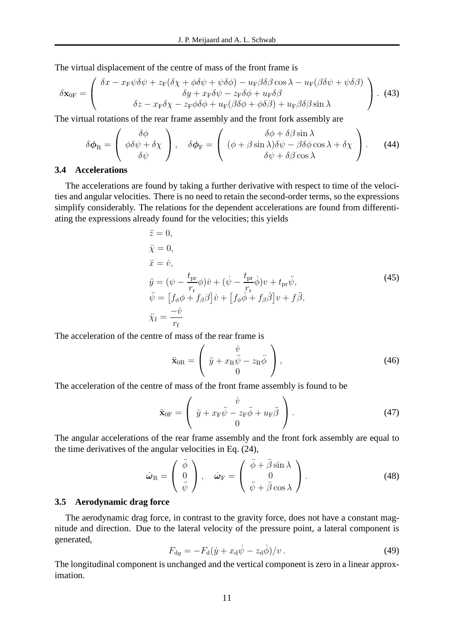The virtual displacement of the centre of mass of the front frame is

$$
\delta \mathbf{x}_{0F} = \begin{pmatrix} \delta x - x_F \psi \delta \psi + z_F (\delta \chi + \phi \delta \psi + \psi \delta \phi) - u_F \beta \delta \beta \cos \lambda - u_F (\beta \delta \psi + \psi \delta \beta) \\ \delta y + x_F \delta \psi - z_F \delta \phi + u_F \delta \beta \\ \delta z - x_F \delta \chi - z_F \phi \delta \phi + u_F (\beta \delta \phi + \phi \delta \beta) + u_F \beta \delta \beta \sin \lambda \end{pmatrix} . \tag{43}
$$

The virtual rotations of the rear frame assembly and the front fork assembly are

$$
\delta\phi_{\rm R} = \begin{pmatrix} \delta\phi \\ \phi\delta\psi + \delta\chi \\ \delta\psi \end{pmatrix}, \quad \delta\phi_{\rm F} = \begin{pmatrix} \delta\phi + \delta\beta\sin\lambda \\ (\phi + \beta\sin\lambda)\delta\psi - \beta\delta\phi\cos\lambda + \delta\chi \\ \delta\psi + \delta\beta\cos\lambda \end{pmatrix}.
$$
 (44)

## **3.4 Accelerations**

The accelerations are found by taking a further derivative with respect to time of the velocities and angular velocities. There is no need to retain the second-order terms, so the expressions simplify considerably. The relations for the dependent accelerations are found from differentiating the expressions already found for the velocities; this yields

$$
\ddot{z} = 0,\n\ddot{x} = \dot{v},\n\ddot{y} = (\psi - \frac{t_{\rm pr}}{r_{\rm r}}\phi)\dot{v} + (\dot{\psi} - \frac{t_{\rm pr}}{r_{\rm r}}\dot{\phi})v + t_{\rm pr}\ddot{\psi},\n\ddot{\psi} = [f_{\phi}\phi + f_{\beta}\beta]\dot{v} + [f_{\phi}\dot{\phi} + f_{\beta}\dot{\beta}]\dot{v} + f\ddot{\beta},\n\ddot{x}_{\rm f} = \frac{-\dot{v}}{r_{\rm f}}
$$
\n(45)

The acceleration of the centre of mass of the rear frame is

$$
\ddot{\mathbf{x}}_{0R} = \left( \begin{array}{c} \dot{v} \\ \ddot{y} + x_R \ddot{\psi} - z_R \ddot{\phi} \\ 0 \end{array} \right), \tag{46}
$$

The acceleration of the centre of mass of the front frame assembly is found to be

$$
\ddot{\mathbf{x}}_{0F} = \left( \begin{array}{c} \dot{v} \\ \ddot{y} + x_F \ddot{\psi} - z_F \ddot{\phi} + u_F \ddot{\beta} \\ 0 \end{array} \right). \tag{47}
$$

The angular accelerations of the rear frame assembly and the front fork assembly are equal to the time derivatives of the angular velocities in Eq. (24),

$$
\dot{\boldsymbol{\omega}}_{\rm R} = \begin{pmatrix} \ddot{\phi} \\ 0 \\ \ddot{\psi} \end{pmatrix}, \quad \dot{\boldsymbol{\omega}}_{\rm F} = \begin{pmatrix} \ddot{\phi} + \ddot{\beta}\sin\lambda \\ 0 \\ \ddot{\psi} + \ddot{\beta}\cos\lambda \end{pmatrix}.
$$
 (48)

#### **3.5 Aerodynamic drag force**

The aerodynamic drag force, in contrast to the gravity force, does not have a constant magnitude and direction. Due to the lateral velocity of the pressure point, a lateral component is generated,

$$
F_{\rm dy} = -F_{\rm d}(\dot{y} + x_{\rm d}\dot{\psi} - z_{\rm d}\dot{\phi})/v.
$$
 (49)

The longitudinal component is unchanged and the vertical component is zero in a linear approximation.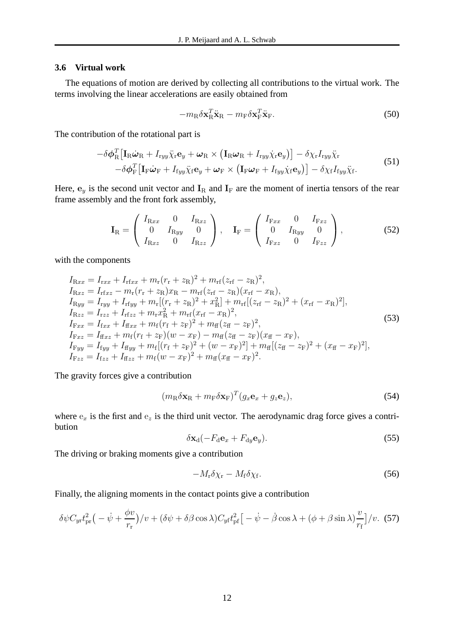# **3.6 Virtual work**

The equations of motion are derived by collecting all contributions to the virtual work. The terms involving the linear accelerations are easily obtained from

$$
-m_{\rm R}\delta \mathbf{x}_{\rm R}^T \ddot{\mathbf{x}}_{\rm R} - m_{\rm F}\delta \mathbf{x}_{\rm F}^T \ddot{\mathbf{x}}_{\rm F}.
$$
\n(50)

The contribution of the rotational part is

$$
-\delta\boldsymbol{\phi}_{\mathrm{R}}^{T}\big[\mathbf{I}_{\mathrm{R}}\dot{\boldsymbol{\omega}}_{\mathrm{R}}+I_{\mathrm{ryy}\ddot{\chi}_{\mathrm{r}}}\mathbf{e}_{y}+\boldsymbol{\omega}_{\mathrm{R}}\times\big(\mathbf{I}_{\mathrm{R}}\boldsymbol{\omega}_{\mathrm{R}}+I_{\mathrm{ryy}\dot{\chi}_{\mathrm{r}}}\mathbf{e}_{y}\big)\big]-\delta\chi_{\mathrm{r}}I_{\mathrm{ryy}\ddot{\chi}_{\mathrm{r}}}\n-\delta\boldsymbol{\phi}_{\mathrm{F}}^{T}\big[\mathbf{I}_{\mathrm{F}}\dot{\boldsymbol{\omega}}_{\mathrm{F}}+I_{\mathrm{fyy}\ddot{\chi}_{\mathrm{f}}}\mathbf{e}_{y}+\boldsymbol{\omega}_{\mathrm{F}}\times\big(\mathbf{I}_{\mathrm{F}}\boldsymbol{\omega}_{\mathrm{F}}+I_{\mathrm{fyy}\dot{\chi}_{\mathrm{f}}}\mathbf{e}_{y}\big)\big]-\delta\chi_{\mathrm{f}}I_{\mathrm{fyy}\ddot{\chi}_{\mathrm{f}}}.
$$
\n(51)

Here,  $e_y$  is the second unit vector and  $I_R$  and  $I_F$  are the moment of inertia tensors of the rear frame assembly and the front fork assembly,

$$
\mathbf{I}_{R} = \begin{pmatrix} I_{Rxx} & 0 & I_{Rxz} \\ 0 & I_{Ryy} & 0 \\ I_{Rxz} & 0 & I_{Rzz} \end{pmatrix}, \quad \mathbf{I}_{F} = \begin{pmatrix} I_{Fx} & 0 & I_{Fx} \\ 0 & I_{Ryy} & 0 \\ I_{Fx} & 0 & I_{Fzz} \end{pmatrix}, \tag{52}
$$

with the components

$$
I_{\text{R}xx} = I_{\text{r}xx} + I_{\text{r}fxx} + m_{\text{r}}(r_{\text{r}} + z_{\text{R}})^{2} + m_{\text{rf}}(z_{\text{rf}} - z_{\text{R}})^{2},
$$
  
\n
$$
I_{\text{R}xz} = I_{\text{r}fxz} - m_{\text{r}}(r_{\text{r}} + z_{\text{R}})x_{\text{R}} - m_{\text{rf}}(z_{\text{rf}} - z_{\text{R}})(x_{\text{rf}} - x_{\text{R}}),
$$
  
\n
$$
I_{\text{R}yy} = I_{\text{r}yy} + I_{\text{r}fyy} + m_{\text{r}}[(r_{\text{r}} + z_{\text{R}})^{2} + x_{\text{R}}^{2}] + m_{\text{rf}}[(z_{\text{rf}} - z_{\text{R}})^{2} + (x_{\text{rf}} - x_{\text{R}})^{2}],
$$
  
\n
$$
I_{\text{R}zz} = I_{\text{r}zz} + I_{\text{r}fzz} + m_{\text{r}}x_{\text{R}}^{2} + m_{\text{rf}}(x_{\text{rf}} - x_{\text{R}})^{2},
$$
  
\n
$$
I_{\text{F}xx} = I_{\text{f}xx} + I_{\text{f}xx} + m_{\text{f}}(r_{\text{f}} + z_{\text{F}})^{2} + m_{\text{f}}(z_{\text{f}} - z_{\text{F}})^{2},
$$
  
\n
$$
I_{\text{F}xy} = I_{\text{f}xy} + I_{\text{f}yy} + m_{\text{f}}[(r_{\text{f}} + z_{\text{F}})^{2} + (w - x_{\text{F}})^{2}] + m_{\text{f}}[(z_{\text{f}} - z_{\text{F}})^{2} + (x_{\text{f}} - x_{\text{F}})^{2}],
$$
  
\n
$$
I_{\text{F}zz} = I_{\text{f}zz} + I_{\text{f}zz} + m_{\text{f}}(w - x_{\text{F}})^{2} + m_{\text{f}}(x_{\text{f}} - x_{\text{F}})^{2}.
$$
  
\n(53)

The gravity forces give a contribution

$$
(m_{\rm R}\delta\mathbf{x}_{\rm R} + m_{\rm F}\delta\mathbf{x}_{\rm F})^T(g_x\mathbf{e}_x + g_z\mathbf{e}_z),
$$
\n(54)

where  $e_x$  is the first and  $e_z$  is the third unit vector. The aerodynamic drag force gives a contribution

$$
\delta \mathbf{x}_{d}(-F_{d}\mathbf{e}_{x}+F_{dy}\mathbf{e}_{y}).
$$
\n(55)

The driving or braking moments give a contribution

$$
-M_{\rm r}\delta\chi_{\rm r}-M_{\rm f}\delta\chi_{\rm f}.\tag{56}
$$

Finally, the aligning moments in the contact points give a contribution

$$
\delta\psi C_{\text{yr}}t_{\text{pr}}^2\big(-\dot{\psi}+\frac{\phi v}{r_{\text{r}}}\big)/v+(\delta\psi+\delta\beta\cos\lambda)C_{\text{yr}}t_{\text{pf}}^2\big[-\dot{\psi}-\dot{\beta}\cos\lambda+(\phi+\beta\sin\lambda)\frac{v}{r_{\text{f}}}\big]/v.\tag{57}
$$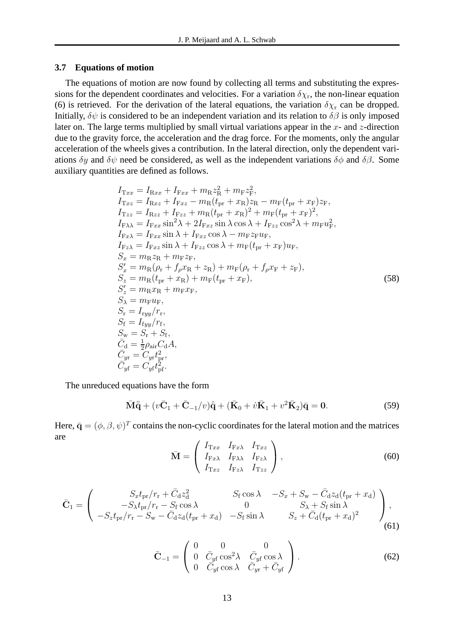## **3.7 Equations of motion**

The equations of motion are now found by collecting all terms and substituting the expressions for the dependent coordinates and velocities. For a variation  $\delta \chi_{\rm r}$ , the non-linear equation (6) is retrieved. For the derivation of the lateral equations, the variation  $\delta \chi_r$  can be dropped. Initially,  $\delta\psi$  is considered to be an independent variation and its relation to  $\delta\beta$  is only imposed later on. The large terms multiplied by small virtual variations appear in the  $x$ - and  $z$ -direction due to the gravity force, the acceleration and the drag force. For the moments, only the angular acceleration of the wheels gives a contribution. In the lateral direction, only the dependent variations  $\delta y$  and  $\delta \psi$  need be considered, as well as the independent variations  $\delta \phi$  and  $\delta \beta$ . Some auxiliary quantities are defined as follows.

$$
I_{Txx} = I_{Rxx} + I_{Fxx} + m_R z_R^2 + m_F z_F^2,
$$
  
\n
$$
I_{Txz} = I_{Rxz} + I_{Fxz} - m_R(t_{pr} + x_R)z_R - m_F(t_{pr} + x_F)z_F,
$$
  
\n
$$
I_{Tzz} = I_{Rzz} + I_{Fzz} + m_R(t_{pr} + x_R)^2 + m_F(t_{pr} + x_F)^2,
$$
  
\n
$$
I_{F\lambda\lambda} = I_{Fxx} \sin^2 \lambda + 2I_{Fxz} \sin \lambda \cos \lambda + I_{Fzz} \cos^2 \lambda + m_F u_F^2,
$$
  
\n
$$
I_{Fx\lambda} = I_{Fxx} \sin \lambda + I_{Fxz} \cos \lambda - m_F z_F u_F,
$$
  
\n
$$
I_{Fz\lambda} = I_{Fxz} \sin \lambda + I_{Fzz} \cos \lambda + m_F(t_{pr} + x_F)u_F,
$$
  
\n
$$
S_x = m_R z_R + m_F z_F,
$$
  
\n
$$
S'_x = m_R (r_{pr} + r_{RR}) + m_F (r_{pr} + r_{pr}),
$$
  
\n
$$
S'_z = m_R x_R + m_F x_F,
$$
  
\n
$$
S_\lambda = m_F u_F,
$$
  
\n
$$
S_r = I_{ryy}/r_r,
$$
  
\n
$$
S_r = I_{ryy}/r_f,
$$
  
\n
$$
S_w = S_r + S_f,
$$
  
\n
$$
\bar{C}_d = \frac{1}{2} \rho_{air} C_d A,
$$
  
\n
$$
\bar{C}_{yr} = C_{yr} t_{pr}^2,
$$
  
\n
$$
\bar{C}_{gf} = C_{f} t_{pr}^2.
$$
  
\n(58)

The unreduced equations have the form

$$
\overline{\mathbf{M}}\overline{\mathbf{q}} + (v\overline{\mathbf{C}}_1 + \overline{\mathbf{C}}_{-1}/v)\overline{\mathbf{q}} + (\overline{\mathbf{K}}_0 + \dot{v}\overline{\mathbf{K}}_1 + v^2\overline{\mathbf{K}}_2)\overline{\mathbf{q}} = \mathbf{0}.
$$
 (59)

Here,  $\bar{\bf q}=(\phi,\beta,\psi)^T$  contains the non-cyclic coordinates for the lateral motion and the matrices are

$$
\bar{\mathbf{M}} = \begin{pmatrix} I_{\mathrm{T}xx} & I_{\mathrm{F}x\lambda} & I_{\mathrm{T}xz} \\ I_{\mathrm{F}x\lambda} & I_{\mathrm{F}\lambda\lambda} & I_{\mathrm{F}z\lambda} \\ I_{\mathrm{T}xz} & I_{\mathrm{F}z\lambda} & I_{\mathrm{T}zz} \end{pmatrix},
$$
\n(60)

$$
\bar{C}_{1} = \begin{pmatrix} S_{x}t_{\rm pr}/r_{\rm r} + \bar{C}_{d}z_{\rm d}^{2} & S_{\rm f}\cos\lambda & -S_{x} + S_{\rm w} - \bar{C}_{d}z_{\rm d}(t_{\rm pr} + x_{\rm d}) \\ -S_{\lambda}t_{\rm pr}/r_{\rm r} - S_{\rm f}\cos\lambda & 0 & S_{\lambda} + S_{\rm f}\sin\lambda \\ -S_{z}t_{\rm pr}/r_{\rm r} - S_{\rm w} - \bar{C}_{d}z_{\rm d}(t_{\rm pr} + x_{\rm d}) & -S_{\rm f}\sin\lambda & S_{z} + \bar{C}_{d}(t_{\rm pr} + x_{\rm d})^{2} \end{pmatrix},
$$
\n(61)

$$
\bar{\mathbf{C}}_{-1} = \begin{pmatrix} 0 & 0 & 0 \\ 0 & \bar{C}_{yt} \cos^2 \lambda & \bar{C}_{yt} \cos \lambda \\ 0 & \bar{C}_{yt} \cos \lambda & \bar{C}_{yr} + \bar{C}_{yt} \end{pmatrix} . \tag{62}
$$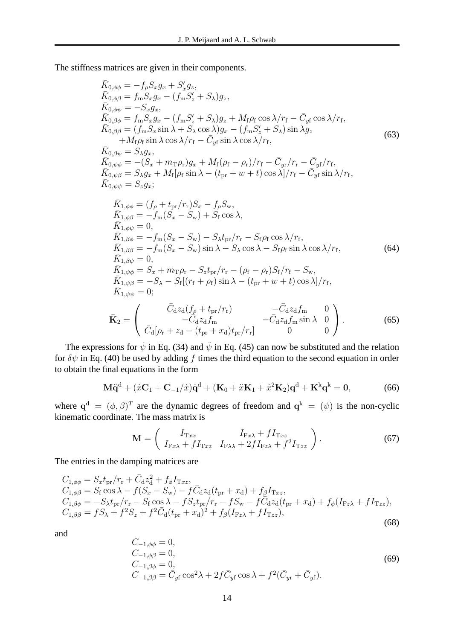The stiffness matrices are given in their components.

$$
\bar{K}_{0,\phi\phi} = -f_{\rho}S_{x}g_{x} + S'_{x}g_{z}, \n\bar{K}_{0,\phi\beta} = f_{\rm m}S_{x}g_{x} - (f_{\rm m}S'_{z} + S_{\lambda})g_{z}, \n\bar{K}_{0,\phi\psi} = -S_{x}g_{x}, \n\bar{K}_{0,\beta\phi} = f_{\rm m}S_{x}g_{x} - (f_{\rm m}S'_{z} + S_{\lambda})g_{z} + M_{\rm f}\rho_{\rm f}\cos\lambda/r_{\rm f} - \bar{C}_{\rm tf}\cos\lambda/r_{\rm f}, \n\bar{K}_{0,\beta\beta} = (f_{\rm m}S_{x}\sin\lambda + S_{\lambda}\cos\lambda)g_{x} - (f_{\rm m}S'_{z} + S_{\lambda})\sin\lambda g_{z} \n+M_{\rm f}\rho_{\rm f}\sin\lambda\cos\lambda/r_{\rm f} - \bar{C}_{\rm yr}\sin\lambda\cos\lambda/r_{\rm f}, \n\bar{K}_{0,\phi\phi} = S_{\lambda}g_{x}, \bar{K}_{0,\psi\phi} = -(S_{x} + m_{\rm T}\rho_{\rm r})g_{x} + M_{\rm f}(\rho_{\rm f} - \rho_{\rm r})/r_{\rm f} - \bar{C}_{\rm yr}/r_{\rm r} - \bar{C}_{\rm yr}/r_{\rm f}, \n\bar{K}_{0,\psi\psi} = S_{z}g_{x}; \n\bar{K}_{1,\phi\phi} = (f_{\rho} + t_{\rm pr}/r_{\rm r})S_{x} - f_{\rho}S_{\rm w}, \n\bar{K}_{1,\phi\phi} = -f_{\rm m}(S_{x} - S_{\rm w}) + S_{\rm f}\cos\lambda, \n\bar{K}_{1,\phi\phi} = -f_{\rm m}(S_{x} - S_{\rm w}) - S_{\lambda}t_{\rm pr}/r_{\rm r} - S_{\rm f}\rho_{\rm f}\cos\lambda/r_{\rm f}, \n\bar{K}_{1,\beta\phi} = -f_{\rm m}(S_{x} - S_{\rm w}) - S_{\lambda}t_{\rm pr}/r_{\rm r} - S_{\rm f}\rho_{\rm f}\cos\lambda/r_{\rm f}, \n\bar{K}_{1,\beta\phi} = -f_{\rm m}(S_{x} - S_{\rm w})\sin\
$$

The expressions for  $\dot{\psi}$  in Eq. (34) and  $\ddot{\psi}$  in Eq. (45) can now be substituted and the relation for  $\delta\psi$  in Eq. (40) be used by adding f times the third equation to the second equation in order to obtain the final equations in the form

$$
\mathbf{M}\ddot{\mathbf{q}}^{\mathbf{d}} + (\dot{x}\mathbf{C}_{1} + \mathbf{C}_{-1}/\dot{x})\dot{\mathbf{q}}^{\mathbf{d}} + (\mathbf{K}_{0} + \ddot{x}\mathbf{K}_{1} + \dot{x}^{2}\mathbf{K}_{2})\mathbf{q}^{\mathbf{d}} + \mathbf{K}^{\mathbf{k}}\mathbf{q}^{\mathbf{k}} = \mathbf{0},\tag{66}
$$

where  $\mathbf{q}^d = (\phi, \beta)^T$  are the dynamic degrees of freedom and  $\mathbf{q}^k = (\psi)$  is the non-cyclic kinematic coordinate. The mass matrix is

$$
\mathbf{M} = \begin{pmatrix} I_{\text{Tx}x} & I_{\text{Fx}\lambda} + fI_{\text{Tx}z} \\ I_{\text{Fx}\lambda} + fI_{\text{Tx}z} & I_{\text{FA}\lambda} + 2fI_{\text{Fx}\lambda} + f^2I_{\text{Tx}z} \end{pmatrix}.
$$
 (67)

The entries in the damping matrices are

$$
C_{1,\phi\phi} = S_x t_{\rm pr} / r_{\rm r} + \bar{C}_{\rm d} z_{\rm d}^2 + f_{\phi} I_{\rm Txz},
$$
  
\n
$$
C_{1,\phi\beta} = S_{\rm f} \cos \lambda - f(S_x - S_w) - f \bar{C}_{\rm d} z_{\rm d} (t_{\rm pr} + x_{\rm d}) + f_{\beta} I_{\rm Txz},
$$
  
\n
$$
C_{1,\beta\phi} = -S_{\lambda} t_{\rm pr} / r_{\rm r} - S_{\rm f} \cos \lambda - f S_z t_{\rm pr} / r_{\rm r} - f S_w - f \bar{C}_{\rm d} z_{\rm d} (t_{\rm pr} + x_{\rm d}) + f_{\phi} (I_{\rm Fz\lambda} + f I_{\rm Tzz}),
$$
  
\n
$$
C_{1,\beta\beta} = f S_{\lambda} + f^2 S_z + f^2 \bar{C}_{\rm d} (t_{\rm pr} + x_{\rm d})^2 + f_{\beta} (I_{\rm Fz\lambda} + f I_{\rm Tzz}),
$$
\n(68)

and

$$
C_{-1,\phi\phi} = 0,
$$
  
\n
$$
C_{-1,\phi\beta} = 0,
$$
  
\n
$$
C_{-1,\beta\phi} = 0,
$$
  
\n
$$
C_{-1,\beta\phi} = \bar{C}_{\text{yf}} \cos^2 \lambda + 2f \bar{C}_{\text{yf}} \cos \lambda + f^2 (\bar{C}_{\text{yr}} + \bar{C}_{\text{yf}}).
$$
\n(69)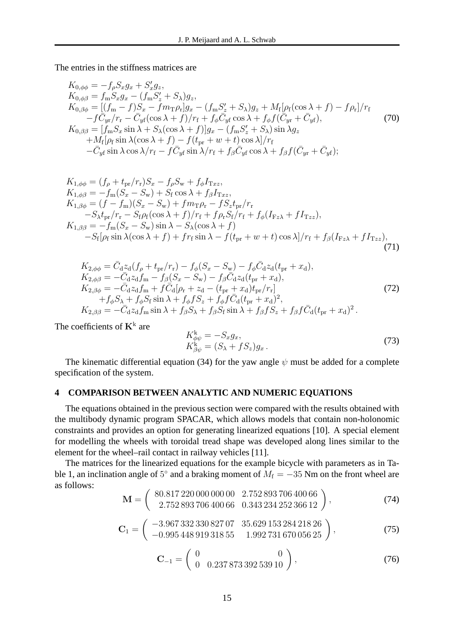The entries in the stiffness matrices are

$$
K_{0,\phi\phi} = -f_{\rho}S_{x}g_{x} + S'_{x}g_{z},
$$
  
\n
$$
K_{0,\phi\beta} = f_{\rm m}S_{x}g_{x} - (f_{\rm m}S'_{z} + S_{\lambda})g_{z},
$$
  
\n
$$
K_{0,\beta\phi} = [(f_{\rm m} - f)S_{x} - f m_{\rm T}\rho_{\rm r}]g_{x} - (f_{\rm m}S'_{z} + S_{\lambda})g_{z} + M_{\rm f}[\rho_{\rm f}(\cos\lambda + f) - f\rho_{\rm r}]/r_{\rm f}
$$
  
\n
$$
-f\bar{C}_{yr}/r_{\rm r} - \bar{C}_{yt}(\cos\lambda + f)/r_{\rm f} + f_{\phi}\bar{C}_{yt}\cos\lambda + f_{\phi}f(\bar{C}_{yr} + \bar{C}_{yt}),
$$
  
\n
$$
K_{0,\beta\beta} = [f_{\rm m}S_{x}\sin\lambda + S_{\lambda}(\cos\lambda + f)]g_{x} - (f_{\rm m}S'_{z} + S_{\lambda})\sin\lambda g_{z}
$$
  
\n
$$
+ M_{\rm f}[\rho_{\rm f}\sin\lambda(\cos\lambda + f) - f(t_{\rm pr} + w + t)\cos\lambda]/r_{\rm f}
$$
  
\n
$$
- \bar{C}_{yt}\sin\lambda\cos\lambda/r_{\rm f} - f\bar{C}_{yt}\sin\lambda/r_{\rm f} + f_{\beta}\bar{C}_{yt}\cos\lambda + f_{\beta}f(\bar{C}_{yr} + \bar{C}_{yt});
$$
  
\n(70)

$$
K_{1,\phi\phi} = (f_{\rho} + t_{\rm pr}/r_{\rm r})S_x - f_{\rho}S_{\rm w} + f_{\phi}I_{\rm Txz},
$$
  
\n
$$
K_{1,\phi\beta} = -f_{\rm m}(S_x - S_{\rm w}) + S_{\rm f}\cos\lambda + f_{\beta}I_{\rm Txz},
$$
  
\n
$$
K_{1,\beta\phi} = (f - f_{\rm m})(S_x - S_{\rm w}) + f m_{\rm T}\rho_{\rm r} - f S_z t_{\rm pr}/r_{\rm r}
$$
  
\n
$$
-S_{\lambda}t_{\rm pr}/r_{\rm r} - S_{\rm f}\rho_{\rm f}(\cos\lambda + f)/r_{\rm f} + f_{\rho_{\rm r}}S_{\rm f}/r_{\rm f} + f_{\phi}(I_{\rm Fz\lambda} + fI_{\rm Tzz}),
$$
  
\n
$$
K_{1,\beta\beta} = -f_{\rm m}(S_x - S_{\rm w})\sin\lambda - S_{\lambda}(\cos\lambda + f)
$$
  
\n
$$
-S_{\rm f}[\rho_{\rm f}\sin\lambda(\cos\lambda + f) + f r_{\rm f}\sin\lambda - f(t_{\rm pr} + w + t)\cos\lambda]/r_{\rm f} + f_{\beta}(I_{\rm Fz\lambda} + fI_{\rm Tzz}),
$$
\n(71)

$$
K_{2,\phi\phi} = \bar{C}_{d}z_{d}(f_{\rho} + t_{pr}/r_{r}) - f_{\phi}(S_{x} - S_{w}) - f_{\phi}\bar{C}_{d}z_{d}(t_{pr} + x_{d}),
$$
  
\n
$$
K_{2,\phi\beta} = -\bar{C}_{d}z_{d}f_{m} - f_{\beta}(S_{x} - S_{w}) - f_{\beta}\bar{C}_{d}z_{d}(t_{pr} + x_{d}),
$$
  
\n
$$
K_{2,\beta\phi} = -\bar{C}_{d}z_{d}f_{m} + f\bar{C}_{d}[\rho_{r} + z_{d} - (t_{pr} + x_{d})t_{pr}/r_{r}] + f_{\phi}S_{\lambda} + f_{\phi}S_{f}\sin\lambda + f_{\phi}fS_{z} + f_{\phi}f\bar{C}_{d}(t_{pr} + x_{d})^{2},
$$
  
\n
$$
K_{2,\beta\beta} = -\bar{C}_{d}z_{d}f_{m}\sin\lambda + f_{\beta}S_{\lambda} + f_{\beta}S_{f}\sin\lambda + f_{\beta}fS_{z} + f_{\beta}f\bar{C}_{d}(t_{pr} + x_{d})^{2}.
$$
\n(72)

The coefficients of  $K^k$  are

$$
K_{\phi\psi}^{\mathbf{k}} = -S_x g_x,
$$
  
\n
$$
K_{\beta\psi}^{\mathbf{k}} = (S_\lambda + f S_z) g_x.
$$
\n(73)

The kinematic differential equation (34) for the yaw angle  $\psi$  must be added for a complete specification of the system.

## **4 COMPARISON BETWEEN ANALYTIC AND NUMERIC EQUATIONS**

The equations obtained in the previous section were compared with the results obtained with the multibody dynamic program SPACAR, which allows models that contain non-holonomic constraints and provides an option for generating linearized equations [10]. A special element for modelling the wheels with toroidal tread shape was developed along lines similar to the element for the wheel–rail contact in railway vehicles [11].

The matrices for the linearized equations for the example bicycle with parameters as in Table 1, an inclination angle of 5° and a braking moment of  $M_f = -35$  Nm on the front wheel are as follows:

$$
\mathbf{M} = \left( \begin{array}{c} 80.817220000000000 & 2.75289370640066 \\ 2.75289370640066 & 0.34323425236612 \end{array} \right), \tag{74}
$$

$$
\mathbf{C}_1 = \begin{pmatrix} -3.96733233082707 & 35.62915328421826 \\ -0.99544891931855 & 1.99273167005625 \end{pmatrix},
$$
(75)

$$
\mathbf{C}_{-1} = \begin{pmatrix} 0 & 0 \\ 0 & 0.23787339253910 \end{pmatrix},\tag{76}
$$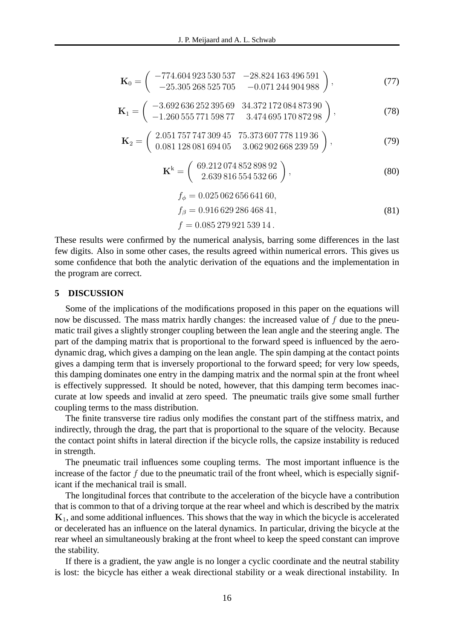$$
\mathbf{K}_0 = \begin{pmatrix} -774.604\,923\,530\,537 & -28.824\,163\,496\,591 \\ -25.305\,268\,525\,705 & -0.071\,244\,904\,988 \end{pmatrix},\tag{77}
$$

$$
\mathbf{K}_1 = \begin{pmatrix} -3.692\,636\,252\,395\,69 & 34.372\,172\,084\,873\,90 \\ -1.260\,555\,771\,598\,77 & 3.474\,695\,170\,872\,98 \end{pmatrix},\tag{78}
$$

$$
\mathbf{K}_2 = \left( \begin{array}{cc} 2.051\,757\,747\,309\,45 & 75.373\,607\,778\,119\,36\\ 0.081\,128\,081\,694\,05 & 3.062\,902\,668\,239\,59 \end{array} \right),\tag{79}
$$

$$
\mathbf{K}^{\mathbf{k}} = \left( \begin{array}{c} 69.21207485289892 \\ 2.63981655453266 \end{array} \right), \tag{80}
$$

$$
f_{\phi} = 0.025\,062\,656\,641\,60,
$$
  
\n
$$
f_{\beta} = 0.916\,629\,286\,468\,41,
$$
  
\n
$$
f = 0.085\,279\,921\,539\,14.
$$
\n(81)

These results were confirmed by the numerical analysis, barring some differences in the last few digits. Also in some other cases, the results agreed within numerical errors. This gives us some confidence that both the analytic derivation of the equations and the implementation in the program are correct.

#### **5 DISCUSSION**

Some of the implications of the modifications proposed in this paper on the equations will now be discussed. The mass matrix hardly changes: the increased value of  $f$  due to the pneumatic trail gives a slightly stronger coupling between the lean angle and the steering angle. The part of the damping matrix that is proportional to the forward speed is influenced by the aerodynamic drag, which gives a damping on the lean angle. The spin damping at the contact points gives a damping term that is inversely proportional to the forward speed; for very low speeds, this damping dominates one entry in the damping matrix and the normal spin at the front wheel is effectively suppressed. It should be noted, however, that this damping term becomes inaccurate at low speeds and invalid at zero speed. The pneumatic trails give some small further coupling terms to the mass distribution.

The finite transverse tire radius only modifies the constant part of the stiffness matrix, and indirectly, through the drag, the part that is proportional to the square of the velocity. Because the contact point shifts in lateral direction if the bicycle rolls, the capsize instability is reduced in strength.

The pneumatic trail influences some coupling terms. The most important influence is the increase of the factor  $f$  due to the pneumatic trail of the front wheel, which is especially significant if the mechanical trail is small.

The longitudinal forces that contribute to the acceleration of the bicycle have a contribution that is common to that of a driving torque at the rear wheel and which is described by the matrix  $K<sub>1</sub>$ , and some additional influences. This shows that the way in which the bicycle is accelerated or decelerated has an influence on the lateral dynamics. In particular, driving the bicycle at the rear wheel an simultaneously braking at the front wheel to keep the speed constant can improve the stability.

If there is a gradient, the yaw angle is no longer a cyclic coordinate and the neutral stability is lost: the bicycle has either a weak directional stability or a weak directional instability. In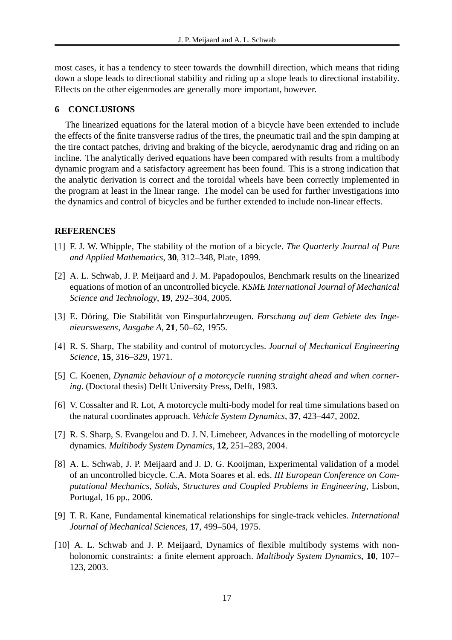most cases, it has a tendency to steer towards the downhill direction, which means that riding down a slope leads to directional stability and riding up a slope leads to directional instability. Effects on the other eigenmodes are generally more important, however.

# **6 CONCLUSIONS**

The linearized equations for the lateral motion of a bicycle have been extended to include the effects of the finite transverse radius of the tires, the pneumatic trail and the spin damping at the tire contact patches, driving and braking of the bicycle, aerodynamic drag and riding on an incline. The analytically derived equations have been compared with results from a multibody dynamic program and a satisfactory agreement has been found. This is a strong indication that the analytic derivation is correct and the toroidal wheels have been correctly implemented in the program at least in the linear range. The model can be used for further investigations into the dynamics and control of bicycles and be further extended to include non-linear effects.

# **REFERENCES**

- [1] F. J. W. Whipple, The stability of the motion of a bicycle. *The Quarterly Journal of Pure and Applied Mathematics*, **30**, 312–348, Plate, 1899.
- [2] A. L. Schwab, J. P. Meijaard and J. M. Papadopoulos, Benchmark results on the linearized equations of motion of an uncontrolled bicycle. *KSME International Journal of Mechanical Science and Technology*, **19**, 292–304, 2005.
- [3] E. Döring, Die Stabilität von Einspurfahrzeugen. *Forschung auf dem Gebiete des Ingenieurswesens, Ausgabe A*, **21**, 50–62, 1955.
- [4] R. S. Sharp, The stability and control of motorcycles. *Journal of Mechanical Engineering Science*, **15**, 316–329, 1971.
- [5] C. Koenen, *Dynamic behaviour of a motorcycle running straight ahead and when cornering*. (Doctoral thesis) Delft University Press, Delft, 1983.
- [6] V. Cossalter and R. Lot, A motorcycle multi-body model for real time simulations based on the natural coordinates approach. *Vehicle System Dynamics*, **37**, 423–447, 2002.
- [7] R. S. Sharp, S. Evangelou and D. J. N. Limebeer, Advances in the modelling of motorcycle dynamics. *Multibody System Dynamics*, **12**, 251–283, 2004.
- [8] A. L. Schwab, J. P. Meijaard and J. D. G. Kooijman, Experimental validation of a model of an uncontrolled bicycle. C.A. Mota Soares et al. eds. *III European Conference on Computational Mechanics, Solids, Structures and Coupled Problems in Engineering*, Lisbon, Portugal, 16 pp., 2006.
- [9] T. R. Kane, Fundamental kinematical relationships for single-track vehicles. *International Journal of Mechanical Sciences*, **17**, 499–504, 1975.
- [10] A. L. Schwab and J. P. Meijaard, Dynamics of flexible multibody systems with nonholonomic constraints: a finite element approach. *Multibody System Dynamics*, **10**, 107– 123, 2003.